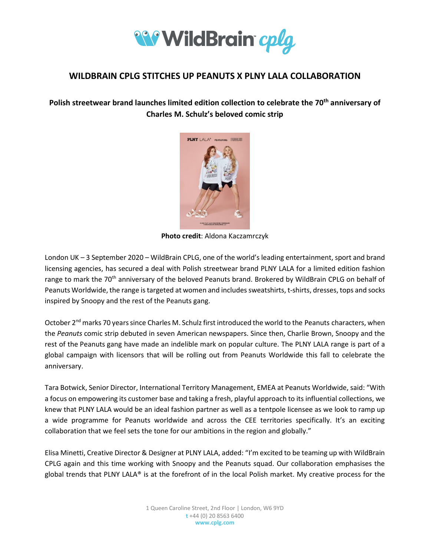

# **WILDBRAIN CPLG STITCHES UP PEANUTS X PLNY LALA COLLABORATION**

**Polish streetwear brand launches limited edition collection to celebrate the 70th anniversary of Charles M. Schulz's beloved comic strip** 



**Photo credit**: Aldona Kaczamrczyk

London UK – 3 September 2020 – WildBrain CPLG, one of the world's leading entertainment, sport and brand licensing agencies, has secured a deal with Polish streetwear brand PLNY LALA for a limited edition fashion range to mark the 70<sup>th</sup> anniversary of the beloved Peanuts brand. Brokered by WildBrain CPLG on behalf of Peanuts Worldwide, the range is targeted at women and includes sweatshirts, t-shirts, dresses, tops and socks inspired by Snoopy and the rest of the Peanuts gang.

October 2<sup>nd</sup> marks 70 years since Charles M. Schulz first introduced the world to the Peanuts characters, when the *Peanuts* comic strip debuted in seven American newspapers. Since then, Charlie Brown, Snoopy and the rest of the Peanuts gang have made an indelible mark on popular culture. The PLNY LALA range is part of a global campaign with licensors that will be rolling out from Peanuts Worldwide this fall to celebrate the anniversary.

Tara Botwick, Senior Director, International Territory Management, EMEA at Peanuts Worldwide, said: "With a focus on empowering its customer base and taking a fresh, playful approach to its influential collections, we knew that PLNY LALA would be an ideal fashion partner as well as a tentpole licensee as we look to ramp up a wide programme for Peanuts worldwide and across the CEE territories specifically. It's an exciting collaboration that we feel sets the tone for our ambitions in the region and globally."

Elisa Minetti, Creative Director & Designer at PLNY LALA, added: "I'm excited to be teaming up with WildBrain CPLG again and this time working with Snoopy and the Peanuts squad. Our collaboration emphasises the global trends that PLNY LALA® is at the forefront of in the local Polish market. My creative process for the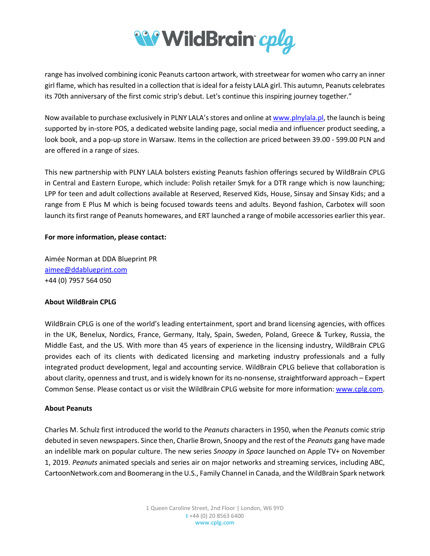

range has involved combining iconic Peanuts cartoon artwork, with streetwear for women who carry an inner girl flame, which has resulted in a collection that is ideal for a feisty LALA girl. This autumn, Peanuts celebrates its 70th anniversary of the first comic strip's debut. Let's continue this inspiring journey together."

Now available to purchase exclusively in PLNY LALA's stores and online at [www.plnylala.pl,](http://www.plnylala.pl/) the launch is being supported by in-store POS, a dedicated website landing page, social media and influencer product seeding, a look book, and a pop-up store in Warsaw. Items in the collection are priced between 39.00 - 599.00 PLN and are offered in a range of sizes.

This new partnership with PLNY LALA bolsters existing Peanuts fashion offerings secured by WildBrain CPLG in Central and Eastern Europe, which include: Polish retailer Smyk for a DTR range which is now launching; LPP for teen and adult collections available at Reserved, Reserved Kids, House, Sinsay and Sinsay Kids; and a range from E Plus M which is being focused towards teens and adults. Beyond fashion, Carbotex will soon launch its first range of Peanuts homewares, and ERT launched a range of mobile accessories earlier this year.

## **For more information, please contact:**

Aimée Norman at DDA Blueprint PR [aimee@ddablueprint.com](mailto:aimee@ddablueprint.com) +44 (0) 7957 564 050

# **About WildBrain CPLG**

WildBrain CPLG is one of the world's leading entertainment, sport and brand licensing agencies, with offices in the UK, Benelux, Nordics, France, Germany, Italy, Spain, Sweden, Poland, Greece & Turkey, Russia, the Middle East, and the US. With more than 45 years of experience in the licensing industry, WildBrain CPLG provides each of its clients with dedicated licensing and marketing industry professionals and a fully integrated product development, legal and accounting service. WildBrain CPLG believe that collaboration is about clarity, openness and trust, and is widely known for its no-nonsense, straightforward approach – Expert Common Sense. Please contact us or visit the WildBrain CPLG website for more information[: www.cplg.com.](http://www.cplg.com/)

#### **About Peanuts**

Charles M. Schulz first introduced the world to the *Peanuts* characters in 1950, when the *Peanuts* comic strip debuted in seven newspapers. Since then, Charlie Brown, Snoopy and the rest of the *Peanuts* gang have made an indelible mark on popular culture. The new series *Snoopy in Space* launched on Apple TV+ on November 1, 2019. *Peanuts* animated specials and series air on major networks and streaming services, including ABC, CartoonNetwork.com and Boomerang in the U.S., Family Channel in Canada, and the WildBrain Spark network